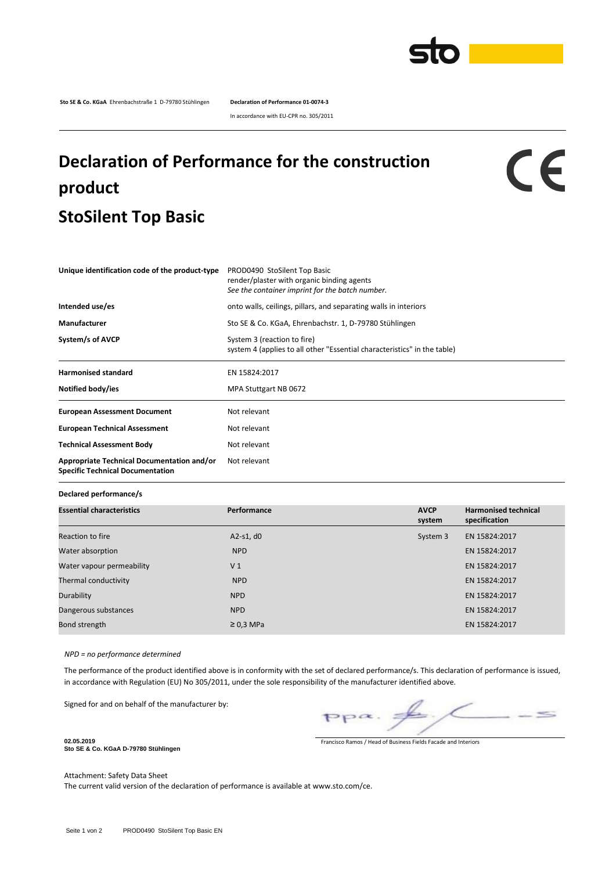

**Sto SE & Co. KGaA** Ehrenbachstraße 1 D-79780 Stühlingen **Declaration of Performance 01-0074-3**

In accordance with EU-CPR no. 305/2011

## **Declaration of Performance for the construction product StoSilent Top Basic**

## CE

| Unique identification code of the product-type                                        | PROD0490 StoSilent Top Basic<br>render/plaster with organic binding agents<br>See the container imprint for the batch number. |  |  |  |  |
|---------------------------------------------------------------------------------------|-------------------------------------------------------------------------------------------------------------------------------|--|--|--|--|
| Intended use/es                                                                       | onto walls, ceilings, pillars, and separating walls in interiors                                                              |  |  |  |  |
| Manufacturer                                                                          | Sto SE & Co. KGaA, Ehrenbachstr. 1, D-79780 Stühlingen                                                                        |  |  |  |  |
| System/s of AVCP                                                                      | System 3 (reaction to fire)<br>system 4 (applies to all other "Essential characteristics" in the table)                       |  |  |  |  |
| <b>Harmonised standard</b>                                                            | EN 15824:2017                                                                                                                 |  |  |  |  |
| Notified body/ies                                                                     | MPA Stuttgart NB 0672                                                                                                         |  |  |  |  |
| <b>European Assessment Document</b>                                                   | Not relevant                                                                                                                  |  |  |  |  |
| <b>European Technical Assessment</b>                                                  | Not relevant                                                                                                                  |  |  |  |  |
| <b>Technical Assessment Body</b>                                                      | Not relevant                                                                                                                  |  |  |  |  |
| Appropriate Technical Documentation and/or<br><b>Specific Technical Documentation</b> | Not relevant                                                                                                                  |  |  |  |  |

**Declared performance/s**

| <b>Essential characteristics</b> | Performance    | <b>AVCP</b><br>system | <b>Harmonised technical</b><br>specification |  |
|----------------------------------|----------------|-----------------------|----------------------------------------------|--|
| Reaction to fire                 | A2-s1, $d0$    | System 3              | EN 15824:2017                                |  |
| Water absorption                 | <b>NPD</b>     |                       | EN 15824:2017                                |  |
| Water vapour permeability        | V <sub>1</sub> |                       | EN 15824:2017                                |  |
| Thermal conductivity             | <b>NPD</b>     |                       | EN 15824:2017                                |  |
| Durability                       | <b>NPD</b>     |                       | EN 15824:2017                                |  |
| Dangerous substances             | <b>NPD</b>     |                       | EN 15824:2017                                |  |
| Bond strength                    | $\geq$ 0.3 MPa |                       | EN 15824:2017                                |  |

*NPD = no performance determined*

The performance of the product identified above is in conformity with the set of declared performance/s. This declaration of performance is issued, in accordance with Regulation (EU) No 305/2011, under the sole responsibility of the manufacturer identified above.

Signed for and on behalf of the manufacturer by:

 $\leq$  $PP^{\alpha}$ .

Francisco Ramos / Head of Business Fields Facade and Interiors

**Sto SE & Co. KGaA D-79780 Stühlingen**

**02.05.2019**

Attachment: Safety Data Sheet

The current valid version of the declaration of performance is available at www.sto.com/ce.